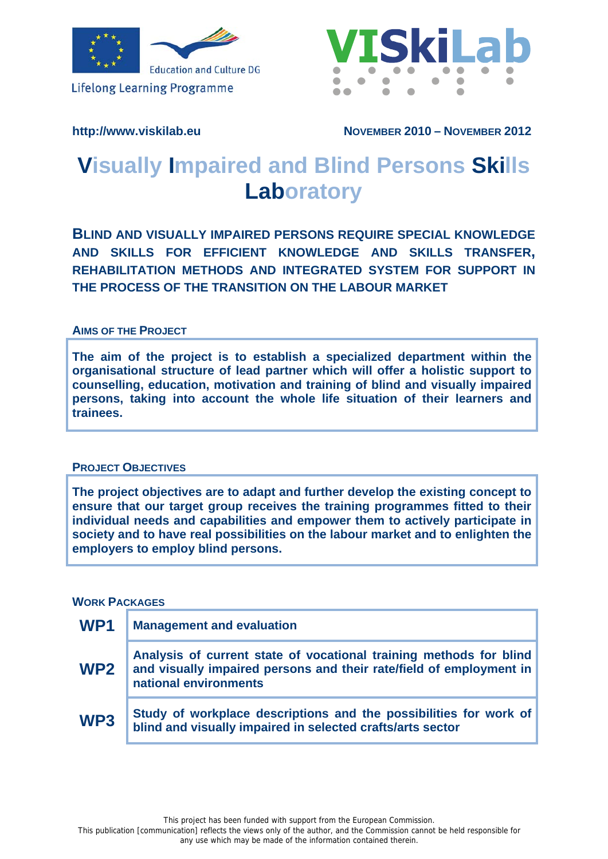

**Lifelong Learning Programme** 



http://www.viskilab.eu **NOVEMBER 2010 - NOVEMBER 2012** 

# **Visually Impaired and Blind Persons Skills Laboratory**

**BLIND AND VISUALLY IMPAIRED PERSONS REQUIRE SPECIAL KNOWLEDGE AND SKILLS FOR EFFICIENT KNOWLEDGE AND SKILLS TRANSFER, REHABILITATION METHODS AND INTEGRATED SYSTEM FOR SUPPORT IN THE PROCESS OF THE TRANSITION ON THE LABOUR MARKET**

#### **AIMS OF THE PROJECT**

**The aim of the project is to establish a specialized department within the organisational structure of lead partner which will offer a holistic support to counselling, education, motivation and training of blind and visually impaired persons, taking into account the whole life situation of their learners and trainees.** 

## **PROJECT OBJECTIVES**

**The project objectives are to adapt and further develop the existing concept to ensure that our target group receives the training programmes fitted to their individual needs and capabilities and empower them to actively participate in society and to have real possibilities on the labour market and to enlighten the employers to employ blind persons.** 

## **WORK PACKAGES**

| WP <sub>1</sub> | <b>Management and evaluation</b>                                                                                                                                   |
|-----------------|--------------------------------------------------------------------------------------------------------------------------------------------------------------------|
| WP <sub>2</sub> | Analysis of current state of vocational training methods for blind<br>and visually impaired persons and their rate/field of employment in<br>national environments |
| WP <sub>3</sub> | Study of workplace descriptions and the possibilities for work of<br>blind and visually impaired in selected crafts/arts sector                                    |

This project has been funded with support from the European Commission.

This publication [communication] reflects the views only of the author, and the Commission cannot be held responsible for any use which may be made of the information contained therein.